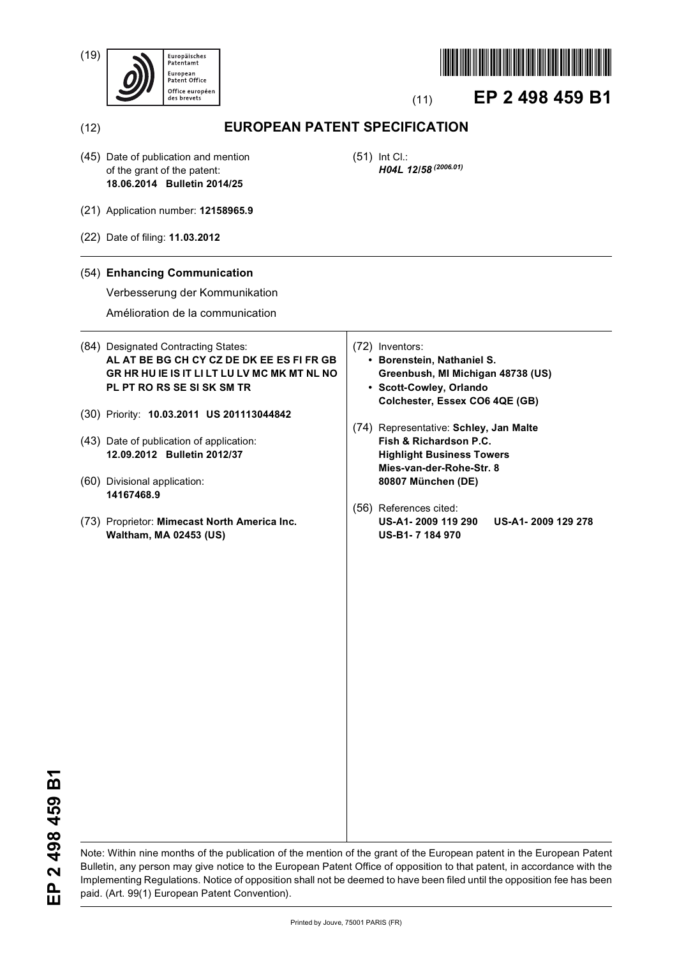(19)





# (11) **EP 2 498 459 B1**

(12) **EUROPEAN PATENT SPECIFICATION**

(45) Date of publication and mention of the grant of the patent: **18.06.2014 Bulletin 2014/25**

(51) Int Cl.: *H04L 12/58 (2006.01)*

- (21) Application number: **12158965.9**
- (22) Date of filing: **11.03.2012**

## (54) **Enhancing Communication**

Verbesserung der Kommunikation

Amélioration de la communication

## (84) Designated Contracting States: **AL AT BE BG CH CY CZ DE DK EE ES FI FR GB GR HR HU IE IS IT LI LT LU LV MC MK MT NL NO PL PT RO RS SE SI SK SM TR**

- (30) Priority: **10.03.2011 US 201113044842**
- (43) Date of publication of application: **12.09.2012 Bulletin 2012/37**
- (60) Divisional application: **14167468.9**
- (73) Proprietor: **Mimecast North America Inc. Waltham, MA 02453 (US)**
- (72) Inventors:
	- **Borenstein, Nathaniel S. Greenbush, MI Michigan 48738 (US) • Scott-Cowley, Orlando**
		- **Colchester, Essex CO6 4QE (GB)**
- (74) Representative: **Schley, Jan Malte Fish & Richardson P.C. Highlight Business Towers Mies-van-der-Rohe-Str. 8 80807 München (DE)**
- (56) References cited: **US-A1- 2009 119 290 US-A1- 2009 129 278 US-B1- 7 184 970**

Note: Within nine months of the publication of the mention of the grant of the European patent in the European Patent Bulletin, any person may give notice to the European Patent Office of opposition to that patent, in accordance with the Implementing Regulations. Notice of opposition shall not be deemed to have been filed until the opposition fee has been paid. (Art. 99(1) European Patent Convention).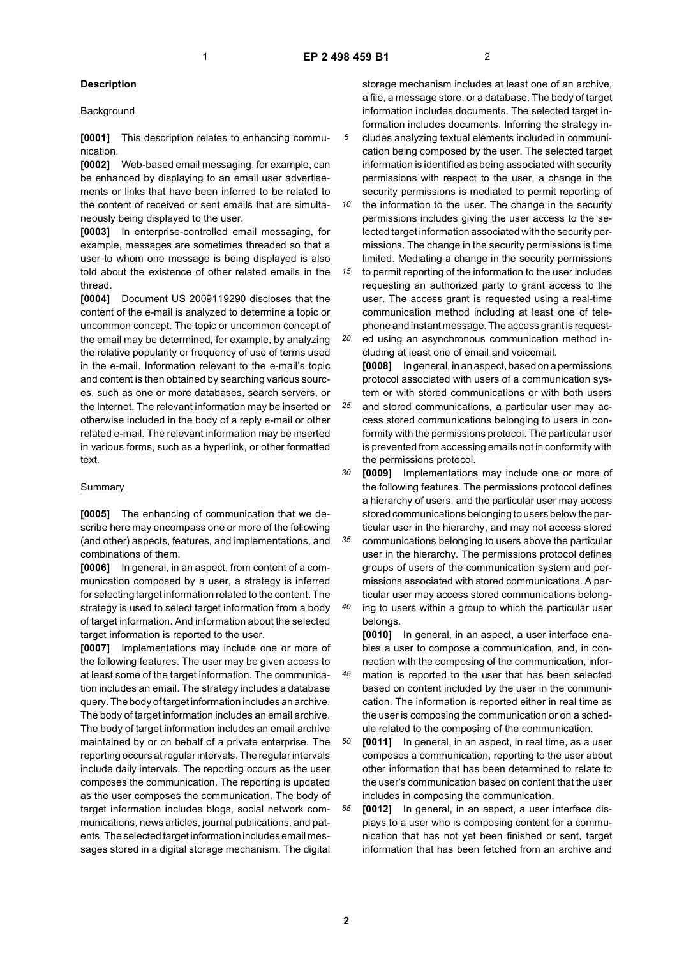## **Description**

#### **Background**

**[0001]** This description relates to enhancing communication.

**[0002]** Web-based email messaging, for example, can be enhanced by displaying to an email user advertisements or links that have been inferred to be related to the content of received or sent emails that are simultaneously being displayed to the user.

**[0003]** In enterprise-controlled email messaging, for example, messages are sometimes threaded so that a user to whom one message is being displayed is also told about the existence of other related emails in the thread.

**[0004]** Document US 2009119290 discloses that the content of the e-mail is analyzed to determine a topic or uncommon concept. The topic or uncommon concept of the email may be determined, for example, by analyzing the relative popularity or frequency of use of terms used in the e-mail. Information relevant to the e-mail's topic and content is then obtained by searching various sources, such as one or more databases, search servers, or the Internet. The relevant information may be inserted or otherwise included in the body of a reply e-mail or other related e-mail. The relevant information may be inserted in various forms, such as a hyperlink, or other formatted text.

#### Summary

**[0005]** The enhancing of communication that we describe here may encompass one or more of the following (and other) aspects, features, and implementations, and combinations of them.

**[0006]** In general, in an aspect, from content of a communication composed by a user, a strategy is inferred for selecting target information related to the content. The strategy is used to select target information from a body of target information. And information about the selected target information is reported to the user.

**[0007]** Implementations may include one or more of the following features. The user may be given access to at least some of the target information. The communication includes an email. The strategy includes a database query. The body of target information includes an archive. The body of target information includes an email archive. The body of target information includes an email archive maintained by or on behalf of a private enterprise. The reporting occurs at regular intervals. The regular intervals include daily intervals. The reporting occurs as the user composes the communication. The reporting is updated as the user composes the communication. The body of target information includes blogs, social network communications, news articles, journal publications, and patents. The selected target information includes email messages stored in a digital storage mechanism. The digital

storage mechanism includes at least one of an archive, a file, a message store, or a database. The body of target information includes documents. The selected target information includes documents. Inferring the strategy includes analyzing textual elements included in communication being composed by the user. The selected target information is identified as being associated with security permissions with respect to the user, a change in the security permissions is mediated to permit reporting of

*10* the information to the user. The change in the security permissions includes giving the user access to the selected target information associated with the security permissions. The change in the security permissions is time limited. Mediating a change in the security permissions

*15 20* to permit reporting of the information to the user includes requesting an authorized party to grant access to the user. The access grant is requested using a real-time communication method including at least one of telephone and instant message. The access grant is requested using an asynchronous communication method in-

cluding at least one of email and voicemail. **[0008]** In general, in an aspect, based on a permissions

*25* protocol associated with users of a communication system or with stored communications or with both users and stored communications, a particular user may access stored communications belonging to users in conformity with the permissions protocol. The particular user is prevented from accessing emails not in conformity with the permissions protocol.

*30 35 40* **[0009]** Implementations may include one or more of the following features. The permissions protocol defines a hierarchy of users, and the particular user may access stored communications belonging to users below the particular user in the hierarchy, and may not access stored communications belonging to users above the particular user in the hierarchy. The permissions protocol defines groups of users of the communication system and permissions associated with stored communications. A particular user may access stored communications belonging to users within a group to which the particular user belongs.

**[0010]** In general, in an aspect, a user interface enables a user to compose a communication, and, in connection with the composing of the communication, infor-

*45* mation is reported to the user that has been selected based on content included by the user in the communication. The information is reported either in real time as the user is composing the communication or on a schedule related to the composing of the communication.

*50* **[0011]** In general, in an aspect, in real time, as a user composes a communication, reporting to the user about other information that has been determined to relate to the user's communication based on content that the user includes in composing the communication.

*55* **[0012]** In general, in an aspect, a user interface displays to a user who is composing content for a communication that has not yet been finished or sent, target information that has been fetched from an archive and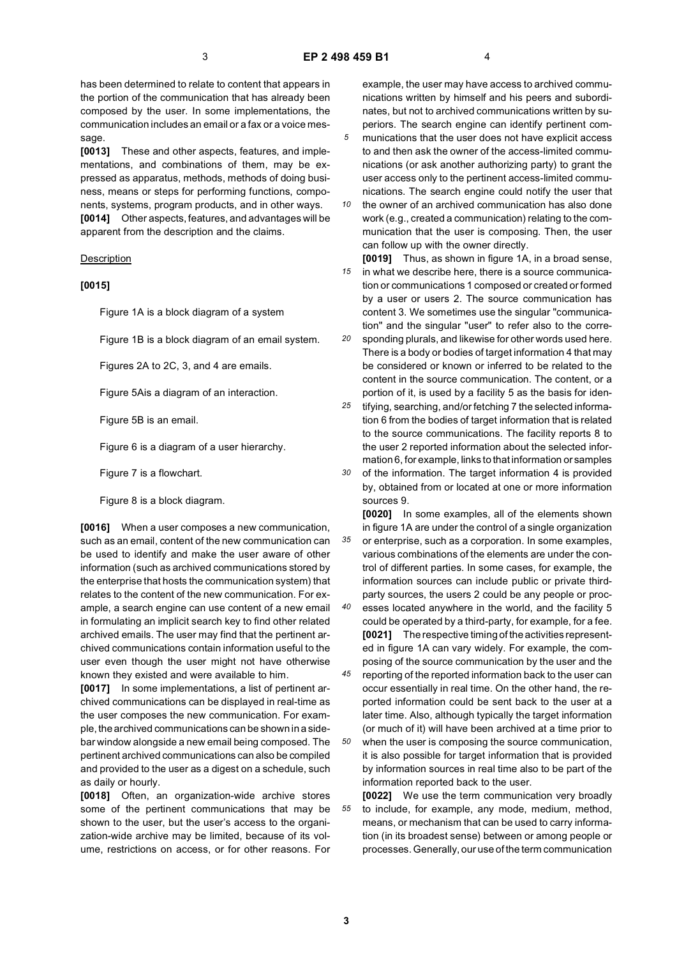has been determined to relate to content that appears in the portion of the communication that has already been composed by the user. In some implementations, the communication includes an email or a fax or a voice message.

**[0013]** These and other aspects, features, and implementations, and combinations of them, may be expressed as apparatus, methods, methods of doing business, means or steps for performing functions, components, systems, program products, and in other ways. **[0014]** Other aspects, features, and advantages will be apparent from the description and the claims.

#### **Description**

#### **[0015]**

Figure 1A is a block diagram of a system

Figure 1B is a block diagram of an email system.

Figures 2A to 2C, 3, and 4 are emails.

Figure 5Ais a diagram of an interaction.

Figure 5B is an email.

Figure 6 is a diagram of a user hierarchy.

Figure 7 is a flowchart.

Figure 8 is a block diagram.

**[0016]** When a user composes a new communication, such as an email, content of the new communication can be used to identify and make the user aware of other information (such as archived communications stored by the enterprise that hosts the communication system) that relates to the content of the new communication. For example, a search engine can use content of a new email in formulating an implicit search key to find other related archived emails. The user may find that the pertinent archived communications contain information useful to the user even though the user might not have otherwise known they existed and were available to him.

**[0017]** In some implementations, a list of pertinent archived communications can be displayed in real-time as the user composes the new communication. For example, the archived communications can be shown in a sidebar window alongside a new email being composed. The pertinent archived communications can also be compiled and provided to the user as a digest on a schedule, such as daily or hourly.

**[0018]** Often, an organization-wide archive stores some of the pertinent communications that may be shown to the user, but the user's access to the organization-wide archive may be limited, because of its volume, restrictions on access, or for other reasons. For

example, the user may have access to archived communications written by himself and his peers and subordinates, but not to archived communications written by superiors. The search engine can identify pertinent com-

- *5* munications that the user does not have explicit access to and then ask the owner of the access-limited communications (or ask another authorizing party) to grant the user access only to the pertinent access-limited communications. The search engine could notify the user that
- *10* the owner of an archived communication has also done work (e.g., created a communication) relating to the communication that the user is composing. Then, the user can follow up with the owner directly.

*15* **[0019]** Thus, as shown in figure 1A, in a broad sense, in what we describe here, there is a source communication or communications 1 composed or created or formed by a user or users 2. The source communication has content 3. We sometimes use the singular "communication" and the singular "user" to refer also to the corre-

*20* sponding plurals, and likewise for other words used here. There is a body or bodies of target information 4 that may be considered or known or inferred to be related to the content in the source communication. The content, or a portion of it, is used by a facility 5 as the basis for iden-

*25* tifying, searching, and/or fetching 7 the selected information 6 from the bodies of target information that is related to the source communications. The facility reports 8 to the user 2 reported information about the selected information 6, for example, links to that information or samples

*30* of the information. The target information 4 is provided by, obtained from or located at one or more information sources 9.

*35 40* **[0020]** In some examples, all of the elements shown in figure 1A are under the control of a single organization or enterprise, such as a corporation. In some examples, various combinations of the elements are under the control of different parties. In some cases, for example, the information sources can include public or private thirdparty sources, the users 2 could be any people or processes located anywhere in the world, and the facility 5 could be operated by a third-party, for example, for a fee. **[0021]** The respective timing of the activities represented in figure 1A can vary widely. For example, the composing of the source communication by the user and the

*45* reporting of the reported information back to the user can occur essentially in real time. On the other hand, the reported information could be sent back to the user at a later time. Also, although typically the target information (or much of it) will have been archived at a time prior to

*50* when the user is composing the source communication, it is also possible for target information that is provided by information sources in real time also to be part of the information reported back to the user.

*55* **[0022]** We use the term communication very broadly to include, for example, any mode, medium, method, means, or mechanism that can be used to carry information (in its broadest sense) between or among people or processes. Generally, our use of the term communication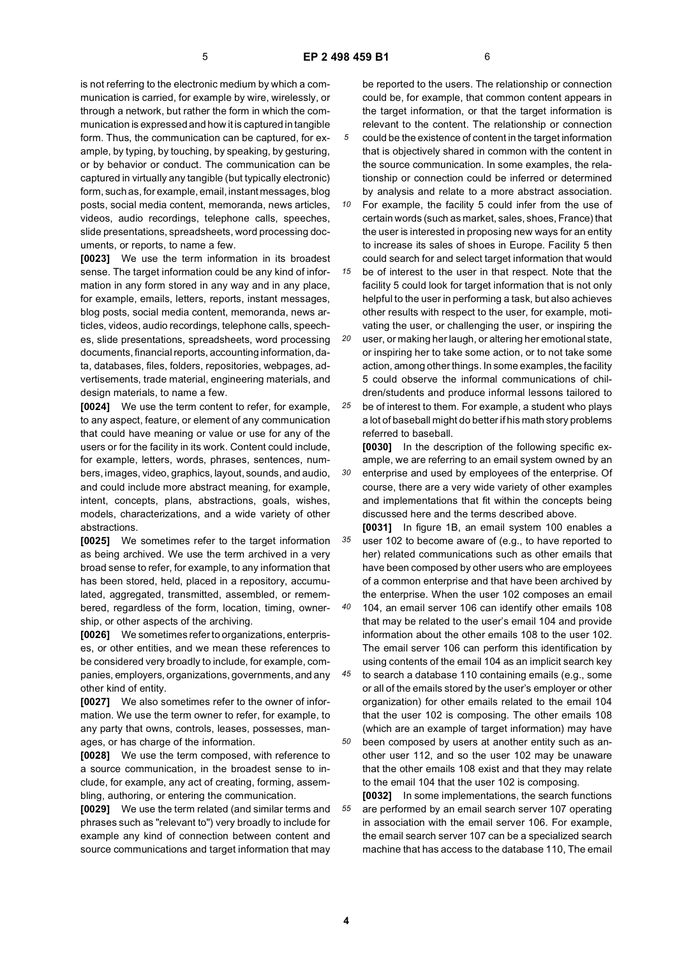is not referring to the electronic medium by which a communication is carried, for example by wire, wirelessly, or through a network, but rather the form in which the communication is expressed and how it is captured in tangible form. Thus, the communication can be captured, for example, by typing, by touching, by speaking, by gesturing, or by behavior or conduct. The communication can be captured in virtually any tangible (but typically electronic) form, such as, for example, email, instant messages, blog posts, social media content, memoranda, news articles, videos, audio recordings, telephone calls, speeches, slide presentations, spreadsheets, word processing documents, or reports, to name a few.

**[0023]** We use the term information in its broadest sense. The target information could be any kind of information in any form stored in any way and in any place, for example, emails, letters, reports, instant messages, blog posts, social media content, memoranda, news articles, videos, audio recordings, telephone calls, speeches, slide presentations, spreadsheets, word processing documents, financial reports, accounting information, data, databases, files, folders, repositories, webpages, advertisements, trade material, engineering materials, and design materials, to name a few.

**[0024]** We use the term content to refer, for example, to any aspect, feature, or element of any communication that could have meaning or value or use for any of the users or for the facility in its work. Content could include, for example, letters, words, phrases, sentences, numbers, images, video, graphics, layout, sounds, and audio, and could include more abstract meaning, for example, intent, concepts, plans, abstractions, goals, wishes, models, characterizations, and a wide variety of other abstractions.

**[0025]** We sometimes refer to the target information as being archived. We use the term archived in a very broad sense to refer, for example, to any information that has been stored, held, placed in a repository, accumulated, aggregated, transmitted, assembled, or remembered, regardless of the form, location, timing, ownership, or other aspects of the archiving.

**[0026]** We sometimes refer to organizations, enterprises, or other entities, and we mean these references to be considered very broadly to include, for example, companies, employers, organizations, governments, and any other kind of entity.

**[0027]** We also sometimes refer to the owner of information. We use the term owner to refer, for example, to any party that owns, controls, leases, possesses, manages, or has charge of the information.

**[0028]** We use the term composed, with reference to a source communication, in the broadest sense to include, for example, any act of creating, forming, assembling, authoring, or entering the communication.

**[0029]** We use the term related (and similar terms and phrases such as "relevant to") very broadly to include for example any kind of connection between content and source communications and target information that may

be reported to the users. The relationship or connection could be, for example, that common content appears in the target information, or that the target information is relevant to the content. The relationship or connection could be the existence of content in the target information that is objectively shared in common with the content in the source communication. In some examples, the relationship or connection could be inferred or determined by analysis and relate to a more abstract association.

*10* For example, the facility 5 could infer from the use of certain words (such as market, sales, shoes, France) that the user is interested in proposing new ways for an entity to increase its sales of shoes in Europe. Facility 5 then could search for and select target information that would

*15 20* be of interest to the user in that respect. Note that the facility 5 could look for target information that is not only helpful to the user in performing a task, but also achieves other results with respect to the user, for example, motivating the user, or challenging the user, or inspiring the

user, or making her laugh, or altering her emotional state, or inspiring her to take some action, or to not take some action, among other things. In some examples, the facility 5 could observe the informal communications of children/students and produce informal lessons tailored to

*25* be of interest to them. For example, a student who plays a lot of baseball might do better if his math story problems referred to baseball.

**[0030]** In the description of the following specific example, we are referring to an email system owned by an enterprise and used by employees of the enterprise. Of course, there are a very wide variety of other examples and implementations that fit within the concepts being discussed here and the terms described above.

*35* **[0031]** In figure 1B, an email system 100 enables a user 102 to become aware of (e.g., to have reported to her) related communications such as other emails that have been composed by other users who are employees of a common enterprise and that have been archived by the enterprise. When the user 102 composes an email

*40 45* 104, an email server 106 can identify other emails 108 that may be related to the user's email 104 and provide information about the other emails 108 to the user 102. The email server 106 can perform this identification by using contents of the email 104 as an implicit search key

to search a database 110 containing emails (e.g., some or all of the emails stored by the user's employer or other organization) for other emails related to the email 104 that the user 102 is composing. The other emails 108 (which are an example of target information) may have been composed by users at another entity such as an-

other user 112, and so the user 102 may be unaware that the other emails 108 exist and that they may relate to the email 104 that the user 102 is composing.

*55* **[0032]** In some implementations, the search functions are performed by an email search server 107 operating in association with the email server 106. For example, the email search server 107 can be a specialized search machine that has access to the database 110, The email

*50*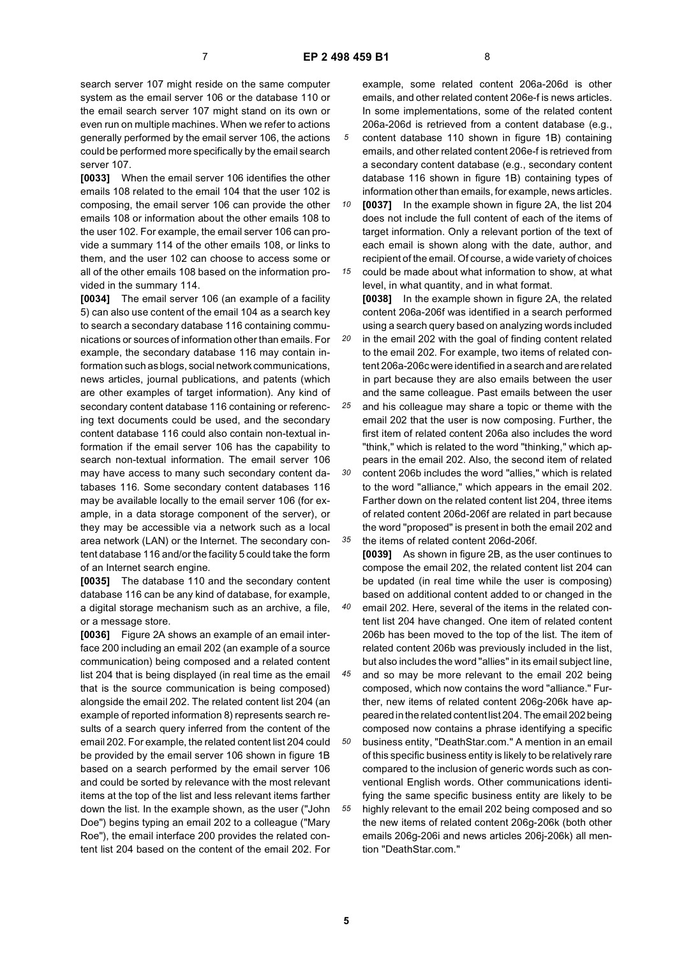*20*

search server 107 might reside on the same computer system as the email server 106 or the database 110 or the email search server 107 might stand on its own or even run on multiple machines. When we refer to actions generally performed by the email server 106, the actions could be performed more specifically by the email search server 107.

**[0033]** When the email server 106 identifies the other emails 108 related to the email 104 that the user 102 is composing, the email server 106 can provide the other emails 108 or information about the other emails 108 to the user 102. For example, the email server 106 can provide a summary 114 of the other emails 108, or links to them, and the user 102 can choose to access some or all of the other emails 108 based on the information provided in the summary 114.

**[0034]** The email server 106 (an example of a facility 5) can also use content of the email 104 as a search key to search a secondary database 116 containing communications or sources of information other than emails. For example, the secondary database 116 may contain information such as blogs, social network communications, news articles, journal publications, and patents (which are other examples of target information). Any kind of secondary content database 116 containing or referencing text documents could be used, and the secondary content database 116 could also contain non-textual information if the email server 106 has the capability to search non-textual information. The email server 106 may have access to many such secondary content databases 116. Some secondary content databases 116 may be available locally to the email server 106 (for example, in a data storage component of the server), or they may be accessible via a network such as a local area network (LAN) or the Internet. The secondary content database 116 and/or the facility 5 could take the form of an Internet search engine.

**[0035]** The database 110 and the secondary content database 116 can be any kind of database, for example, a digital storage mechanism such as an archive, a file, or a message store.

**[0036]** Figure 2A shows an example of an email interface 200 including an email 202 (an example of a source communication) being composed and a related content list 204 that is being displayed (in real time as the email that is the source communication is being composed) alongside the email 202. The related content list 204 (an example of reported information 8) represents search results of a search query inferred from the content of the email 202. For example, the related content list 204 could be provided by the email server 106 shown in figure 1B based on a search performed by the email server 106 and could be sorted by relevance with the most relevant items at the top of the list and less relevant items farther down the list. In the example shown, as the user ("John Doe") begins typing an email 202 to a colleague ("Mary Roe"), the email interface 200 provides the related content list 204 based on the content of the email 202. For

example, some related content 206a-206d is other emails, and other related content 206e-f is news articles. In some implementations, some of the related content 206a-206d is retrieved from a content database (e.g., content database 110 shown in figure 1B) containing emails, and other related content 206e-f is retrieved from a secondary content database (e.g., secondary content database 116 shown in figure 1B) containing types of information other than emails, for example, news articles.

*10 15* **[0037]** In the example shown in figure 2A, the list 204 does not include the full content of each of the items of target information. Only a relevant portion of the text of each email is shown along with the date, author, and recipient of the email. Of course, a wide variety of choices could be made about what information to show, at what

level, in what quantity, and in what format. **[0038]** In the example shown in figure 2A, the related content 206a-206f was identified in a search performed using a search query based on analyzing words included in the email 202 with the goal of finding content related to the email 202. For example, two items of related content 206a-206c were identified in a search and are related in part because they are also emails between the user and the same colleague. Past emails between the user

*25 30 35* and his colleague may share a topic or theme with the email 202 that the user is now composing. Further, the first item of related content 206a also includes the word "think," which is related to the word "thinking," which appears in the email 202. Also, the second item of related content 206b includes the word "allies," which is related to the word "alliance," which appears in the email 202. Farther down on the related content list 204, three items of related content 206d-206f are related in part because the word "proposed" is present in both the email 202 and the items of related content 206d-206f.

*40* **[0039]** As shown in figure 2B, as the user continues to compose the email 202, the related content list 204 can be updated (in real time while the user is composing) based on additional content added to or changed in the email 202. Here, several of the items in the related content list 204 have changed. One item of related content 206b has been moved to the top of the list. The item of related content 206b was previously included in the list, but also includes the word "allies" in its email subject line,

*45 50* and so may be more relevant to the email 202 being composed, which now contains the word "alliance." Further, new items of related content 206g-206k have appeared in the related content list 204. The email 202 being composed now contains a phrase identifying a specific business entity, "DeathStar.com." A mention in an email of this specific business entity is likely to be relatively rare compared to the inclusion of generic words such as con-

*55* ventional English words. Other communications identifying the same specific business entity are likely to be highly relevant to the email 202 being composed and so the new items of related content 206g-206k (both other emails 206g-206i and news articles 206j-206k) all mention "DeathStar.com."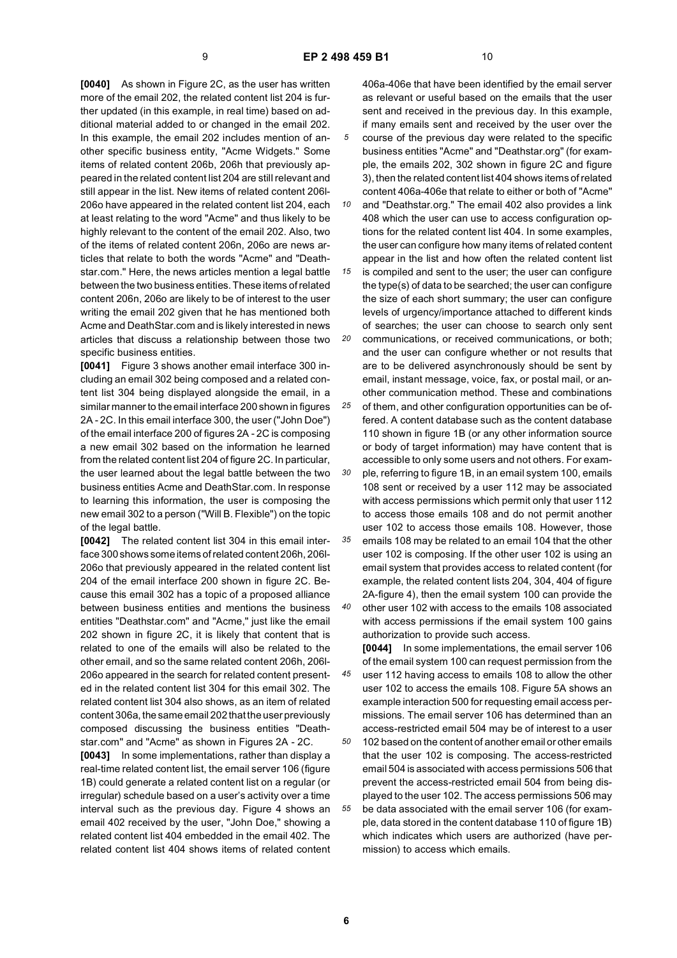**[0040]** As shown in Figure 2C, as the user has written more of the email 202, the related content list 204 is further updated (in this example, in real time) based on additional material added to or changed in the email 202. In this example, the email 202 includes mention of another specific business entity, "Acme Widgets." Some items of related content 206b, 206h that previously appeared in the related content list 204 are still relevant and still appear in the list. New items of related content 206l-206o have appeared in the related content list 204, each at least relating to the word "Acme" and thus likely to be highly relevant to the content of the email 202. Also, two of the items of related content 206n, 206o are news articles that relate to both the words "Acme" and "Deathstar.com." Here, the news articles mention a legal battle between the two business entities. These items of related content 206n, 206o are likely to be of interest to the user writing the email 202 given that he has mentioned both Acme and DeathStar.com and is likely interested in news articles that discuss a relationship between those two specific business entities.

**[0041]** Figure 3 shows another email interface 300 including an email 302 being composed and a related content list 304 being displayed alongside the email, in a similar manner to the email interface 200 shown in figures 2A - 2C. In this email interface 300, the user ("John Doe") of the email interface 200 of figures 2A - 2C is composing a new email 302 based on the information he learned from the related content list 204 of figure 2C. In particular, the user learned about the legal battle between the two business entities Acme and DeathStar.com. In response to learning this information, the user is composing the new email 302 to a person ("Will B. Flexible") on the topic of the legal battle.

**[0042]** The related content list 304 in this email interface 300 shows some items of related content 206h, 206l-206o that previously appeared in the related content list 204 of the email interface 200 shown in figure 2C. Because this email 302 has a topic of a proposed alliance between business entities and mentions the business entities "Deathstar.com" and "Acme," just like the email 202 shown in figure 2C, it is likely that content that is related to one of the emails will also be related to the other email, and so the same related content 206h, 206l-206o appeared in the search for related content presented in the related content list 304 for this email 302. The related content list 304 also shows, as an item of related content 306a, the same email 202 that the user previously composed discussing the business entities "Deathstar.com" and "Acme" as shown in Figures 2A - 2C.

**[0043]** In some implementations, rather than display a real-time related content list, the email server 106 (figure 1B) could generate a related content list on a regular (or irregular) schedule based on a user's activity over a time interval such as the previous day. Figure 4 shows an email 402 received by the user, "John Doe," showing a related content list 404 embedded in the email 402. The related content list 404 shows items of related content

406a-406e that have been identified by the email server as relevant or useful based on the emails that the user sent and received in the previous day. In this example, if many emails sent and received by the user over the course of the previous day were related to the specific business entities "Acme" and "Deathstar.org" (for example, the emails 202, 302 shown in figure 2C and figure 3), then the related content list 404 shows items of related content 406a-406e that relate to either or both of "Acme"

*10 15* and "Deathstar.org." The email 402 also provides a link 408 which the user can use to access configuration options for the related content list 404. In some examples, the user can configure how many items of related content appear in the list and how often the related content list

*20* is compiled and sent to the user; the user can configure the type(s) of data to be searched; the user can configure the size of each short summary; the user can configure levels of urgency/importance attached to different kinds of searches; the user can choose to search only sent communications, or received communications, or both;

and the user can configure whether or not results that are to be delivered asynchronously should be sent by email, instant message, voice, fax, or postal mail, or another communication method. These and combinations

*25 30 35 40* of them, and other configuration opportunities can be offered. A content database such as the content database 110 shown in figure 1B (or any other information source or body of target information) may have content that is accessible to only some users and not others. For example, referring to figure 1B, in an email system 100, emails 108 sent or received by a user 112 may be associated with access permissions which permit only that user 112 to access those emails 108 and do not permit another user 102 to access those emails 108. However, those emails 108 may be related to an email 104 that the other user 102 is composing. If the other user 102 is using an email system that provides access to related content (for example, the related content lists 204, 304, 404 of figure 2A-figure 4), then the email system 100 can provide the other user 102 with access to the emails 108 associated with access permissions if the email system 100 gains

authorization to provide such access. **[0044]** In some implementations, the email server 106 of the email system 100 can request permission from the user 112 having access to emails 108 to allow the other user 102 to access the emails 108. Figure 5A shows an example interaction 500 for requesting email access permissions. The email server 106 has determined than an access-restricted email 504 may be of interest to a user 102 based on the content of another email or other emails that the user 102 is composing. The access-restricted email 504 is associated with access permissions 506 that prevent the access-restricted email 504 from being displayed to the user 102. The access permissions 506 may

be data associated with the email server 106 (for example, data stored in the content database 110 of figure 1B) which indicates which users are authorized (have permission) to access which emails.

**6**

*45*

*50*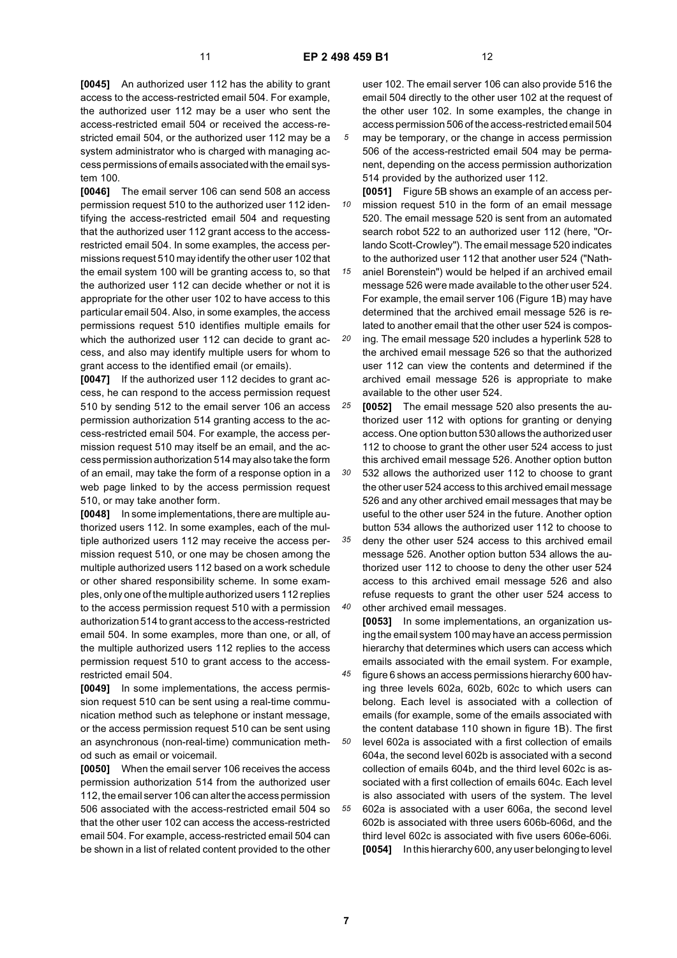**[0045]** An authorized user 112 has the ability to grant access to the access-restricted email 504. For example, the authorized user 112 may be a user who sent the access-restricted email 504 or received the access-restricted email 504, or the authorized user 112 may be a system administrator who is charged with managing access permissions of emails associated with the email system 100.

**[0046]** The email server 106 can send 508 an access permission request 510 to the authorized user 112 identifying the access-restricted email 504 and requesting that the authorized user 112 grant access to the accessrestricted email 504. In some examples, the access permissions request 510 may identify the other user 102 that the email system 100 will be granting access to, so that the authorized user 112 can decide whether or not it is appropriate for the other user 102 to have access to this particular email 504. Also, in some examples, the access permissions request 510 identifies multiple emails for which the authorized user 112 can decide to grant access, and also may identify multiple users for whom to grant access to the identified email (or emails).

**[0047]** If the authorized user 112 decides to grant access, he can respond to the access permission request 510 by sending 512 to the email server 106 an access permission authorization 514 granting access to the access-restricted email 504. For example, the access permission request 510 may itself be an email, and the access permission authorization 514 may also take the form of an email, may take the form of a response option in a web page linked to by the access permission request 510, or may take another form.

**[0048]** In some implementations, there are multiple authorized users 112. In some examples, each of the multiple authorized users 112 may receive the access permission request 510, or one may be chosen among the multiple authorized users 112 based on a work schedule or other shared responsibility scheme. In some examples, only one of the multiple authorized users 112 replies to the access permission request 510 with a permission authorization 514 to grant access to the access-restricted email 504. In some examples, more than one, or all, of the multiple authorized users 112 replies to the access permission request 510 to grant access to the accessrestricted email 504.

**[0049]** In some implementations, the access permission request 510 can be sent using a real-time communication method such as telephone or instant message, or the access permission request 510 can be sent using an asynchronous (non-real-time) communication method such as email or voicemail.

**[0050]** When the email server 106 receives the access permission authorization 514 from the authorized user 112, the email server 106 can alter the access permission 506 associated with the access-restricted email 504 so that the other user 102 can access the access-restricted email 504. For example, access-restricted email 504 can be shown in a list of related content provided to the other

user 102. The email server 106 can also provide 516 the email 504 directly to the other user 102 at the request of the other user 102. In some examples, the change in access permission 506 of the access-restricted email 504

*5* may be temporary, or the change in access permission 506 of the access-restricted email 504 may be permanent, depending on the access permission authorization 514 provided by the authorized user 112.

*10* **[0051]** Figure 5B shows an example of an access permission request 510 in the form of an email message 520. The email message 520 is sent from an automated search robot 522 to an authorized user 112 (here, "Orlando Scott-Crowley"). The email message 520 indicates to the authorized user 112 that another user 524 ("Nath-

*15* aniel Borenstein") would be helped if an archived email message 526 were made available to the other user 524. For example, the email server 106 (Figure 1B) may have determined that the archived email message 526 is related to another email that the other user 524 is compos-

*20* ing. The email message 520 includes a hyperlink 528 to the archived email message 526 so that the authorized user 112 can view the contents and determined if the archived email message 526 is appropriate to make available to the other user 524.

*25* **[0052]** The email message 520 also presents the authorized user 112 with options for granting or denying access. One option button 530 allows the authorized user 112 to choose to grant the other user 524 access to just this archived email message 526. Another option button

532 allows the authorized user 112 to choose to grant the other user 524 access to this archived email message 526 and any other archived email messages that may be useful to the other user 524 in the future. Another option button 534 allows the authorized user 112 to choose to

*35 40* deny the other user 524 access to this archived email message 526. Another option button 534 allows the authorized user 112 to choose to deny the other user 524 access to this archived email message 526 and also refuse requests to grant the other user 524 access to other archived email messages.

**[0053]** In some implementations, an organization using the email system 100 may have an access permission hierarchy that determines which users can access which emails associated with the email system. For example,

*45 50 55* figure 6 shows an access permissions hierarchy 600 having three levels 602a, 602b, 602c to which users can belong. Each level is associated with a collection of emails (for example, some of the emails associated with the content database 110 shown in figure 1B). The first level 602a is associated with a first collection of emails 604a, the second level 602b is associated with a second collection of emails 604b, and the third level 602c is associated with a first collection of emails 604c. Each level is also associated with users of the system. The level 602a is associated with a user 606a, the second level 602b is associated with three users 606b-606d, and the third level 602c is associated with five users 606e-606i. **[0054]** In this hierarchy 600, any user belonging to level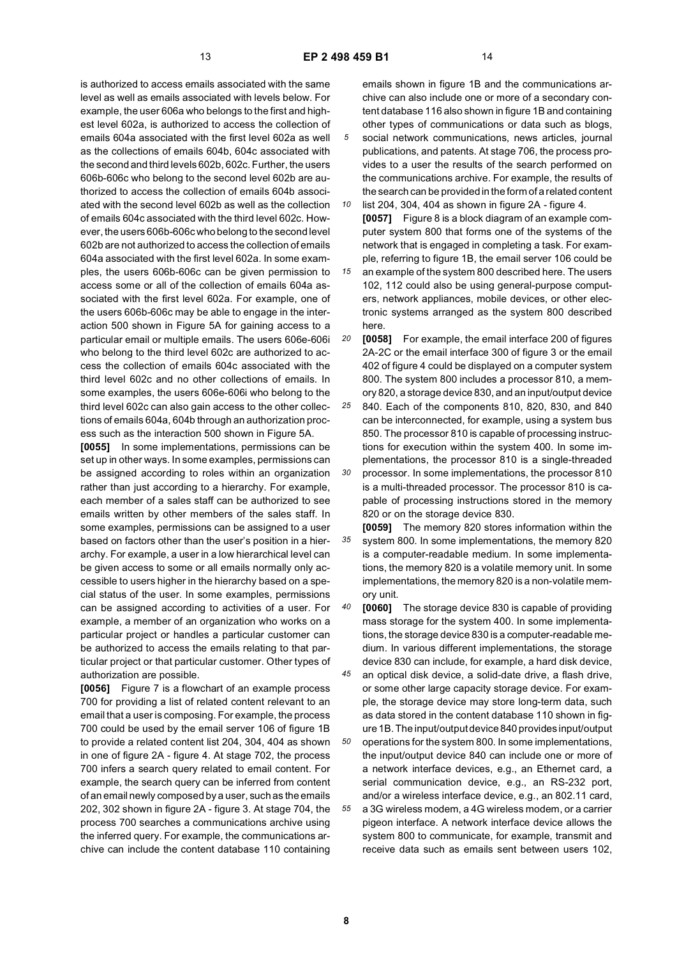is authorized to access emails associated with the same level as well as emails associated with levels below. For example, the user 606a who belongs to the first and highest level 602a, is authorized to access the collection of emails 604a associated with the first level 602a as well as the collections of emails 604b, 604c associated with the second and third levels 602b, 602c. Further, the users 606b-606c who belong to the second level 602b are authorized to access the collection of emails 604b associated with the second level 602b as well as the collection of emails 604c associated with the third level 602c. However, the users 606b-606c who belong to the second level 602b are not authorized to access the collection of emails 604a associated with the first level 602a. In some examples, the users 606b-606c can be given permission to access some or all of the collection of emails 604a associated with the first level 602a. For example, one of the users 606b-606c may be able to engage in the interaction 500 shown in Figure 5A for gaining access to a particular email or multiple emails. The users 606e-606i who belong to the third level 602c are authorized to access the collection of emails 604c associated with the third level 602c and no other collections of emails. In some examples, the users 606e-606i who belong to the third level 602c can also gain access to the other collections of emails 604a, 604b through an authorization process such as the interaction 500 shown in Figure 5A.

**[0055]** In some implementations, permissions can be set up in other ways. In some examples, permissions can be assigned according to roles within an organization rather than just according to a hierarchy. For example, each member of a sales staff can be authorized to see emails written by other members of the sales staff. In some examples, permissions can be assigned to a user based on factors other than the user's position in a hierarchy. For example, a user in a low hierarchical level can be given access to some or all emails normally only accessible to users higher in the hierarchy based on a special status of the user. In some examples, permissions can be assigned according to activities of a user. For example, a member of an organization who works on a particular project or handles a particular customer can be authorized to access the emails relating to that particular project or that particular customer. Other types of authorization are possible.

**[0056]** Figure 7 is a flowchart of an example process 700 for providing a list of related content relevant to an email that a user is composing. For example, the process 700 could be used by the email server 106 of figure 1B to provide a related content list 204, 304, 404 as shown in one of figure 2A - figure 4. At stage 702, the process 700 infers a search query related to email content. For example, the search query can be inferred from content of an email newly composed by a user, such as the emails 202, 302 shown in figure 2A - figure 3. At stage 704, the process 700 searches a communications archive using the inferred query. For example, the communications archive can include the content database 110 containing

emails shown in figure 1B and the communications archive can also include one or more of a secondary content database 116 also shown in figure 1B and containing other types of communications or data such as blogs, social network communications, news articles, journal publications, and patents. At stage 706, the process provides to a user the results of the search performed on the communications archive. For example, the results of the search can be provided in the form of a related content

*10 15* list 204, 304, 404 as shown in figure 2A - figure 4. **[0057]** Figure 8 is a block diagram of an example computer system 800 that forms one of the systems of the network that is engaged in completing a task. For example, referring to figure 1B, the email server 106 could be an example of the system 800 described here. The users 102, 112 could also be using general-purpose computers, network appliances, mobile devices, or other electronic systems arranged as the system 800 described here.

*20* **[0058]** For example, the email interface 200 of figures 2A-2C or the email interface 300 of figure 3 or the email 402 of figure 4 could be displayed on a computer system 800. The system 800 includes a processor 810, a memory 820, a storage device 830, and an input/output device

*25 30* 840. Each of the components 810, 820, 830, and 840 can be interconnected, for example, using a system bus 850. The processor 810 is capable of processing instructions for execution within the system 400. In some implementations, the processor 810 is a single-threaded processor. In some implementations, the processor 810 is a multi-threaded processor. The processor 810 is capable of processing instructions stored in the memory 820 or on the storage device 830.

*35* **[0059]** The memory 820 stores information within the system 800. In some implementations, the memory 820 is a computer-readable medium. In some implementations, the memory 820 is a volatile memory unit. In some implementations, the memory 820 is a non-volatile memory unit.

*40* **[0060]** The storage device 830 is capable of providing mass storage for the system 400. In some implementations, the storage device 830 is a computer-readable medium. In various different implementations, the storage device 830 can include, for example, a hard disk device,

*45* an optical disk device, a solid-date drive, a flash drive, or some other large capacity storage device. For example, the storage device may store long-term data, such as data stored in the content database 110 shown in figure 1B. The input/output device 840 provides input/output

*50 55* operations for the system 800. In some implementations, the input/output device 840 can include one or more of a network interface devices, e.g., an Ethernet card, a serial communication device, e.g., an RS-232 port, and/or a wireless interface device, e.g., an 802.11 card, a 3G wireless modem, a 4G wireless modem, or a carrier pigeon interface. A network interface device allows the system 800 to communicate, for example, transmit and receive data such as emails sent between users 102,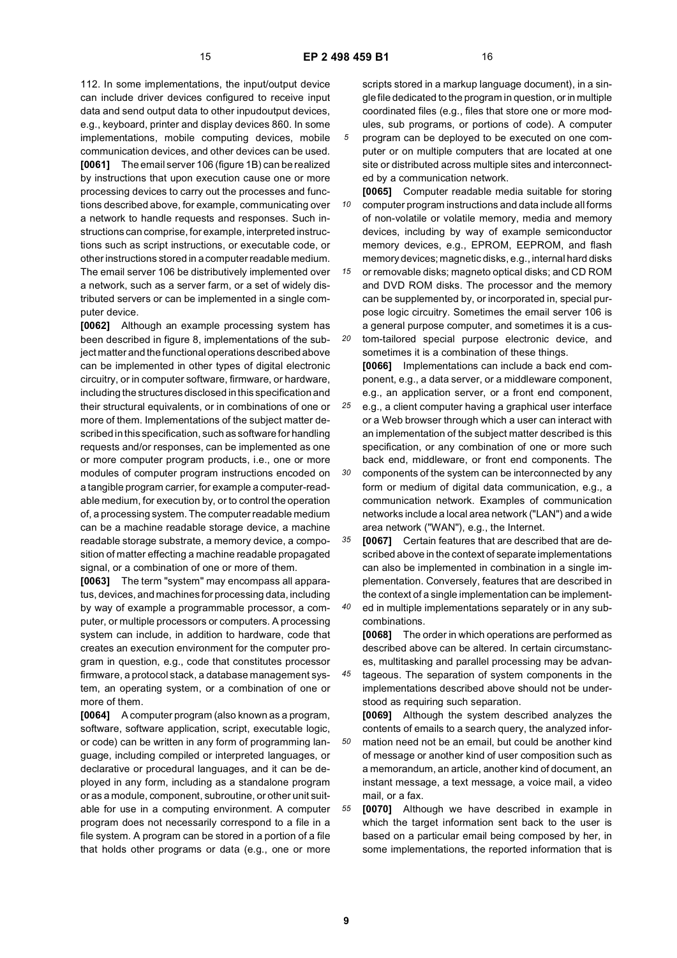112. In some implementations, the input/output device can include driver devices configured to receive input data and send output data to other inpudoutput devices, e.g., keyboard, printer and display devices 860. In some implementations, mobile computing devices, mobile communication devices, and other devices can be used. **[0061]** The email server 106 (figure 1B) can be realized by instructions that upon execution cause one or more processing devices to carry out the processes and functions described above, for example, communicating over a network to handle requests and responses. Such instructions can comprise, for example, interpreted instructions such as script instructions, or executable code, or other instructions stored in a computer readable medium. The email server 106 be distributively implemented over a network, such as a server farm, or a set of widely distributed servers or can be implemented in a single computer device.

**[0062]** Although an example processing system has been described in figure 8, implementations of the subject matter and the functional operations described above can be implemented in other types of digital electronic circuitry, or in computer software, firmware, or hardware, including the structures disclosed in this specification and their structural equivalents, or in combinations of one or more of them. Implementations of the subject matter described in this specification, such as software for handling requests and/or responses, can be implemented as one or more computer program products, i.e., one or more modules of computer program instructions encoded on a tangible program carrier, for example a computer-readable medium, for execution by, or to control the operation of, a processing system. The computer readable medium can be a machine readable storage device, a machine readable storage substrate, a memory device, a composition of matter effecting a machine readable propagated signal, or a combination of one or more of them.

**[0063]** The term "system" may encompass all apparatus, devices, and machines for processing data, including by way of example a programmable processor, a computer, or multiple processors or computers. A processing system can include, in addition to hardware, code that creates an execution environment for the computer program in question, e.g., code that constitutes processor firmware, a protocol stack, a database management system, an operating system, or a combination of one or more of them.

**[0064]** A computer program (also known as a program, software, software application, script, executable logic, or code) can be written in any form of programming language, including compiled or interpreted languages, or declarative or procedural languages, and it can be deployed in any form, including as a standalone program or as a module, component, subroutine, or other unit suitable for use in a computing environment. A computer program does not necessarily correspond to a file in a file system. A program can be stored in a portion of a file that holds other programs or data (e.g., one or more

scripts stored in a markup language document), in a single file dedicated to the program in question, or in multiple coordinated files (e.g., files that store one or more modules, sub programs, or portions of code). A computer program can be deployed to be executed on one computer or on multiple computers that are located at one site or distributed across multiple sites and interconnected by a communication network.

*10 15* **[0065]** Computer readable media suitable for storing computer program instructions and data include all forms of non-volatile or volatile memory, media and memory devices, including by way of example semiconductor memory devices, e.g., EPROM, EEPROM, and flash memory devices; magnetic disks, e.g., internal hard disks

*20* or removable disks; magneto optical disks; and CD ROM and DVD ROM disks. The processor and the memory can be supplemented by, or incorporated in, special purpose logic circuitry. Sometimes the email server 106 is a general purpose computer, and sometimes it is a custom-tailored special purpose electronic device, and

sometimes it is a combination of these things. **[0066]** Implementations can include a back end component, e.g., a data server, or a middleware component, e.g., an application server, or a front end component,

*25* e.g., a client computer having a graphical user interface or a Web browser through which a user can interact with an implementation of the subject matter described is this specification, or any combination of one or more such back end, middleware, or front end components. The

*30* components of the system can be interconnected by any form or medium of digital data communication, e.g., a communication network. Examples of communication networks include a local area network ("LAN") and a wide area network ("WAN"), e.g., the Internet.

*35 40* **[0067]** Certain features that are described that are described above in the context of separate implementations can also be implemented in combination in a single implementation. Conversely, features that are described in the context of a single implementation can be implement-

ed in multiple implementations separately or in any subcombinations.

**[0068]** The order in which operations are performed as described above can be altered. In certain circumstances, multitasking and parallel processing may be advan-

*45* tageous. The separation of system components in the implementations described above should not be understood as requiring such separation.

*50* **[0069]** Although the system described analyzes the contents of emails to a search query, the analyzed information need not be an email, but could be another kind of message or another kind of user composition such as a memorandum, an article, another kind of document, an instant message, a text message, a voice mail, a video mail, or a fax.

*55* **[0070]** Although we have described in example in which the target information sent back to the user is based on a particular email being composed by her, in some implementations, the reported information that is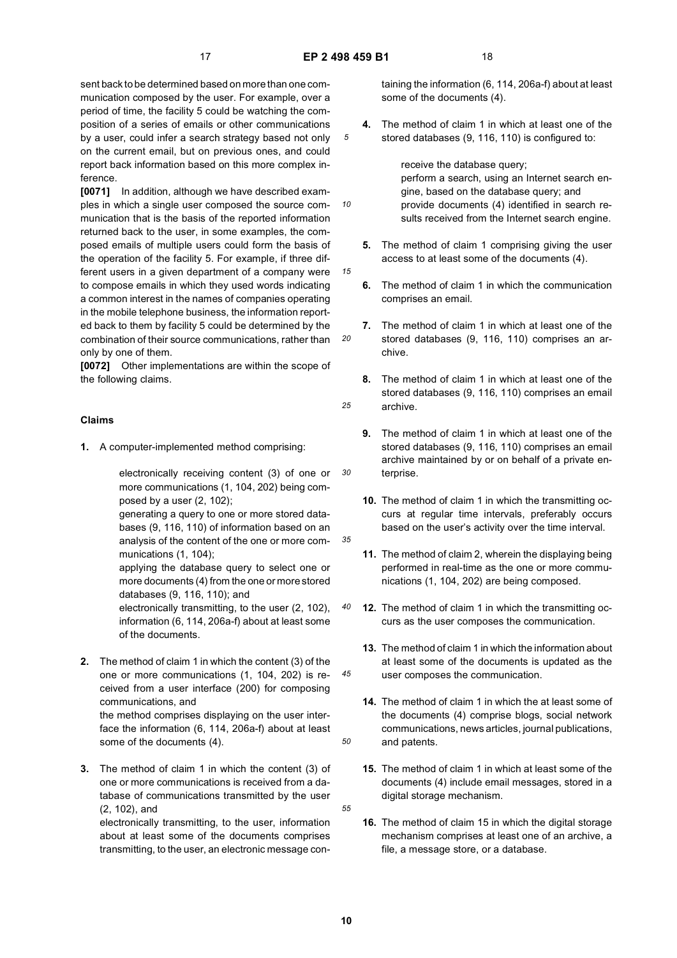*10*

*15*

*20*

*25*

*30*

*35*

*40*

*45*

*50*

*55*

sent back to be determined based on more than one communication composed by the user. For example, over a period of time, the facility 5 could be watching the composition of a series of emails or other communications by a user, could infer a search strategy based not only on the current email, but on previous ones, and could report back information based on this more complex inference.

**[0071]** In addition, although we have described examples in which a single user composed the source communication that is the basis of the reported information returned back to the user, in some examples, the composed emails of multiple users could form the basis of the operation of the facility 5. For example, if three different users in a given department of a company were to compose emails in which they used words indicating a common interest in the names of companies operating in the mobile telephone business, the information reported back to them by facility 5 could be determined by the combination of their source communications, rather than only by one of them.

**[0072]** Other implementations are within the scope of the following claims.

#### **Claims**

**1.** A computer-implemented method comprising:

electronically receiving content (3) of one or more communications (1, 104, 202) being composed by a user (2, 102);

generating a query to one or more stored databases (9, 116, 110) of information based on an analysis of the content of the one or more communications (1, 104);

applying the database query to select one or more documents (4) from the one or more stored databases (9, 116, 110); and

electronically transmitting, to the user (2, 102), information (6, 114, 206a-f) about at least some of the documents.

**2.** The method of claim 1 in which the content (3) of the one or more communications (1, 104, 202) is received from a user interface (200) for composing communications, and the method comprises displaying on the user inter-

face the information (6, 114, 206a-f) about at least some of the documents (4).

**3.** The method of claim 1 in which the content (3) of one or more communications is received from a database of communications transmitted by the user (2, 102), and

electronically transmitting, to the user, information about at least some of the documents comprises transmitting, to the user, an electronic message containing the information (6, 114, 206a-f) about at least some of the documents (4).

**4.** The method of claim 1 in which at least one of the stored databases (9, 116, 110) is configured to:

receive the database query; perform a search, using an Internet search engine, based on the database query; and provide documents (4) identified in search results received from the Internet search engine.

- **5.** The method of claim 1 comprising giving the user access to at least some of the documents (4).
- **6.** The method of claim 1 in which the communication comprises an email.
- **7.** The method of claim 1 in which at least one of the stored databases (9, 116, 110) comprises an archive.
- **8.** The method of claim 1 in which at least one of the stored databases (9, 116, 110) comprises an email archive.
- **9.** The method of claim 1 in which at least one of the stored databases (9, 116, 110) comprises an email archive maintained by or on behalf of a private enterprise.
- **10.** The method of claim 1 in which the transmitting occurs at regular time intervals, preferably occurs based on the user's activity over the time interval.
- **11.** The method of claim 2, wherein the displaying being performed in real-time as the one or more communications (1, 104, 202) are being composed.
- **12.** The method of claim 1 in which the transmitting occurs as the user composes the communication.
- **13.** The method of claim 1 in which the information about at least some of the documents is updated as the user composes the communication.
- **14.** The method of claim 1 in which the at least some of the documents (4) comprise blogs, social network communications, news articles, journal publications, and patents.
- **15.** The method of claim 1 in which at least some of the documents (4) include email messages, stored in a digital storage mechanism.
- **16.** The method of claim 15 in which the digital storage mechanism comprises at least one of an archive, a file, a message store, or a database.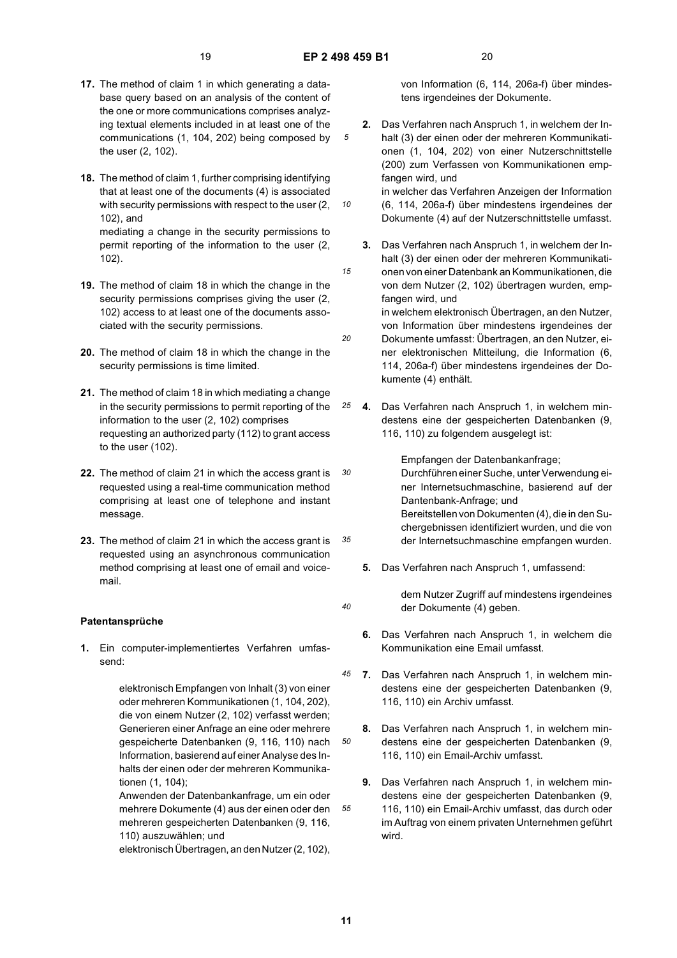*10*

*15*

*20*

*40*

*50*

*55*

- **17.** The method of claim 1 in which generating a database query based on an analysis of the content of the one or more communications comprises analyzing textual elements included in at least one of the communications (1, 104, 202) being composed by the user (2, 102).
- **18.** The method of claim 1, further comprising identifying that at least one of the documents (4) is associated with security permissions with respect to the user (2, 102), and

mediating a change in the security permissions to permit reporting of the information to the user (2, 102).

- **19.** The method of claim 18 in which the change in the security permissions comprises giving the user (2, 102) access to at least one of the documents associated with the security permissions.
- **20.** The method of claim 18 in which the change in the security permissions is time limited.
- **21.** The method of claim 18 in which mediating a change in the security permissions to permit reporting of the information to the user (2, 102) comprises requesting an authorized party (112) to grant access to the user (102).
- *30* **22.** The method of claim 21 in which the access grant is requested using a real-time communication method comprising at least one of telephone and instant message.
- *35* **23.** The method of claim 21 in which the access grant is requested using an asynchronous communication method comprising at least one of email and voicemail.

#### **Patentansprüche**

**1.** Ein computer-implementiertes Verfahren umfassend:

> elektronisch Empfangen von Inhalt (3) von einer oder mehreren Kommunikationen (1, 104, 202), die von einem Nutzer (2, 102) verfasst werden; Generieren einer Anfrage an eine oder mehrere gespeicherte Datenbanken (9, 116, 110) nach Information, basierend auf einer Analyse des Inhalts der einen oder der mehreren Kommunikationen (1, 104);

> Anwenden der Datenbankanfrage, um ein oder mehrere Dokumente (4) aus der einen oder den mehreren gespeicherten Datenbanken (9, 116, 110) auszuwählen; und

elektronisch Übertragen, an den Nutzer (2, 102),

von Information (6, 114, 206a-f) über mindestens irgendeines der Dokumente.

**2.** Das Verfahren nach Anspruch 1, in welchem der Inhalt (3) der einen oder der mehreren Kommunikationen (1, 104, 202) von einer Nutzerschnittstelle (200) zum Verfassen von Kommunikationen empfangen wird, und in welcher das Verfahren Anzeigen der Information

(6, 114, 206a-f) über mindestens irgendeines der Dokumente (4) auf der Nutzerschnittstelle umfasst.

- **3.** Das Verfahren nach Anspruch 1, in welchem der Inhalt (3) der einen oder der mehreren Kommunikationen von einer Datenbank an Kommunikationen, die von dem Nutzer (2, 102) übertragen wurden, empfangen wird, und in welchem elektronisch Übertragen, an den Nutzer,
- von Information über mindestens irgendeines der Dokumente umfasst: Übertragen, an den Nutzer, einer elektronischen Mitteilung, die Information (6, 114, 206a-f) über mindestens irgendeines der Dokumente (4) enthält.
- *25* **4.** Das Verfahren nach Anspruch 1, in welchem mindestens eine der gespeicherten Datenbanken (9, 116, 110) zu folgendem ausgelegt ist:

Empfangen der Datenbankanfrage;

Durchführen einer Suche, unter Verwendung einer Internetsuchmaschine, basierend auf der Dantenbank-Anfrage; und Bereitstellen von Dokumenten (4), die in den Suchergebnissen identifiziert wurden, und die von der Internetsuchmaschine empfangen wurden.

**5.** Das Verfahren nach Anspruch 1, umfassend:

dem Nutzer Zugriff auf mindestens irgendeines der Dokumente (4) geben.

- **6.** Das Verfahren nach Anspruch 1, in welchem die Kommunikation eine Email umfasst.
- *45* **7.** Das Verfahren nach Anspruch 1, in welchem mindestens eine der gespeicherten Datenbanken (9, 116, 110) ein Archiv umfasst.
	- **8.** Das Verfahren nach Anspruch 1, in welchem mindestens eine der gespeicherten Datenbanken (9, 116, 110) ein Email-Archiv umfasst.
	- **9.** Das Verfahren nach Anspruch 1, in welchem mindestens eine der gespeicherten Datenbanken (9, 116, 110) ein Email-Archiv umfasst, das durch oder im Auftrag von einem privaten Unternehmen geführt wird.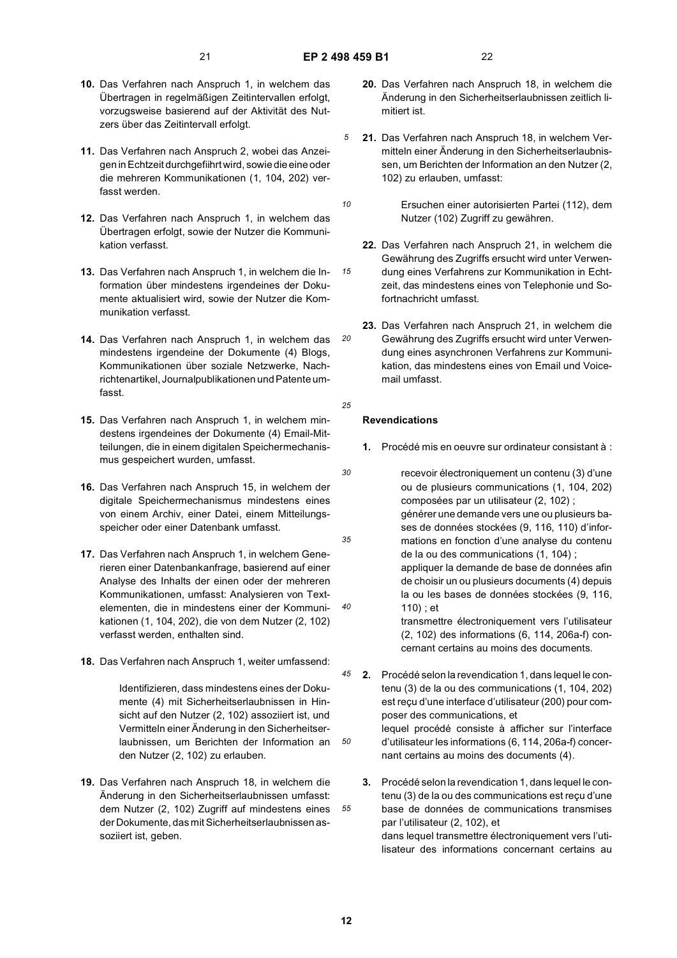*10*

*15*

*20*

*25*

- **10.** Das Verfahren nach Anspruch 1, in welchem das Übertragen in regelmäßigen Zeitintervallen erfolgt, vorzugsweise basierend auf der Aktivität des Nutzers über das Zeitintervall erfolgt.
- **11.** Das Verfahren nach Anspruch 2, wobei das Anzeigen in Echtzeit durchgefiihrt wird, sowie die eine oder die mehreren Kommunikationen (1, 104, 202) verfasst werden.
- **12.** Das Verfahren nach Anspruch 1, in welchem das Übertragen erfolgt, sowie der Nutzer die Kommunikation verfasst.
- **13.** Das Verfahren nach Anspruch 1, in welchem die Information über mindestens irgendeines der Dokumente aktualisiert wird, sowie der Nutzer die Kommunikation verfasst.
- **14.** Das Verfahren nach Anspruch 1, in welchem das mindestens irgendeine der Dokumente (4) Blogs, Kommunikationen über soziale Netzwerke, Nachrichtenartikel, Journalpublikationen und Patente umfasst.
- **15.** Das Verfahren nach Anspruch 1, in welchem mindestens irgendeines der Dokumente (4) Email-Mitteilungen, die in einem digitalen Speichermechanismus gespeichert wurden, umfasst.
- **16.** Das Verfahren nach Anspruch 15, in welchem der digitale Speichermechanismus mindestens eines von einem Archiv, einer Datei, einem Mitteilungsspeicher oder einer Datenbank umfasst.
- **17.** Das Verfahren nach Anspruch 1, in welchem Generieren einer Datenbankanfrage, basierend auf einer Analyse des Inhalts der einen oder der mehreren Kommunikationen, umfasst: Analysieren von Textelementen, die in mindestens einer der Kommunikationen (1, 104, 202), die von dem Nutzer (2, 102) verfasst werden, enthalten sind.
- **18.** Das Verfahren nach Anspruch 1, weiter umfassend:

Identifizieren, dass mindestens eines der Dokumente (4) mit Sicherheitserlaubnissen in Hinsicht auf den Nutzer (2, 102) assoziiert ist, und Vermitteln einer Änderung in den Sicherheitserlaubnissen, um Berichten der Information an den Nutzer (2, 102) zu erlauben.

**19.** Das Verfahren nach Anspruch 18, in welchem die Änderung in den Sicherheitserlaubnissen umfasst: dem Nutzer (2, 102) Zugriff auf mindestens eines der Dokumente, das mit Sicherheitserlaubnissen assoziiert ist, geben.

- **20.** Das Verfahren nach Anspruch 18, in welchem die Änderung in den Sicherheitserlaubnissen zeitlich limitiert ist.
- **21.** Das Verfahren nach Anspruch 18, in welchem Vermitteln einer Änderung in den Sicherheitserlaubnissen, um Berichten der Information an den Nutzer (2, 102) zu erlauben, umfasst:
- Ersuchen einer autorisierten Partei (112), dem Nutzer (102) Zugriff zu gewähren.
- **22.** Das Verfahren nach Anspruch 21, in welchem die Gewährung des Zugriffs ersucht wird unter Verwendung eines Verfahrens zur Kommunikation in Echtzeit, das mindestens eines von Telephonie und Sofortnachricht umfasst.
- **23.** Das Verfahren nach Anspruch 21, in welchem die Gewährung des Zugriffs ersucht wird unter Verwendung eines asynchronen Verfahrens zur Kommunikation, das mindestens eines von Email und Voicemail umfasst.
- **Revendications**
- **1.** Procédé mis en oeuvre sur ordinateur consistant à :
- *30 35 40* recevoir électroniquement un contenu (3) d'une ou de plusieurs communications (1, 104, 202) composées par un utilisateur (2, 102) ; générer une demande vers une ou plusieurs bases de données stockées (9, 116, 110) d'informations en fonction d'une analyse du contenu de la ou des communications (1, 104) ; appliquer la demande de base de données afin de choisir un ou plusieurs documents (4) depuis la ou les bases de données stockées (9, 116, 110) ; et transmettre électroniquement vers l'utilisateur (2, 102) des informations (6, 114, 206a-f) concernant certains au moins des documents.
- *45 50* **2.** Procédé selon la revendication 1, dans lequel le contenu (3) de la ou des communications (1, 104, 202) est reçu d'une interface d'utilisateur (200) pour composer des communications, et lequel procédé consiste à afficher sur l'interface d'utilisateur les informations (6, 114, 206a-f) concernant certains au moins des documents (4).
	- **3.** Procédé selon la revendication 1, dans lequel le contenu (3) de la ou des communications est reçu d'une base de données de communications transmises par l'utilisateur (2, 102), et dans lequel transmettre électroniquement vers l'utilisateur des informations concernant certains au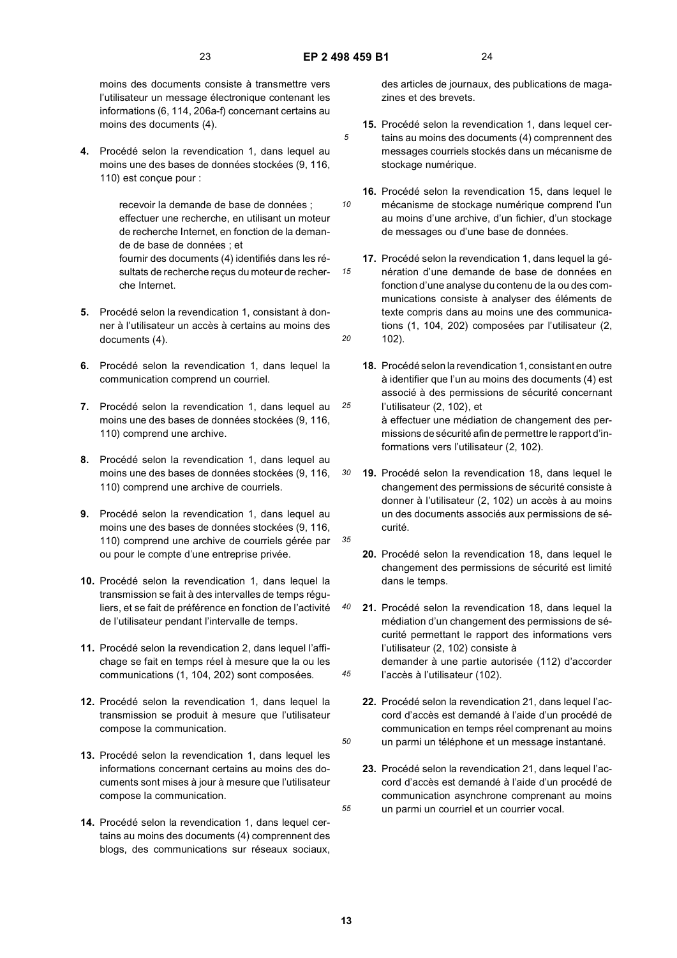*10*

*15*

*20*

*30*

*35*

*40*

*50*

*55*

moins des documents consiste à transmettre vers l'utilisateur un message électronique contenant les informations (6, 114, 206a-f) concernant certains au moins des documents (4).

**4.** Procédé selon la revendication 1, dans lequel au moins une des bases de données stockées (9, 116, 110) est conçue pour :

> recevoir la demande de base de données ; effectuer une recherche, en utilisant un moteur de recherche Internet, en fonction de la demande de base de données ; et fournir des documents (4) identifiés dans les résultats de recherche reçus du moteur de recherche Internet.

- **5.** Procédé selon la revendication 1, consistant à donner à l'utilisateur un accès à certains au moins des documents (4).
- **6.** Procédé selon la revendication 1, dans lequel la communication comprend un courriel.
- *25* **7.** Procédé selon la revendication 1, dans lequel au moins une des bases de données stockées (9, 116, 110) comprend une archive.
- **8.** Procédé selon la revendication 1, dans lequel au moins une des bases de données stockées (9, 116, 110) comprend une archive de courriels.
- **9.** Procédé selon la revendication 1, dans lequel au moins une des bases de données stockées (9, 116, 110) comprend une archive de courriels gérée par ou pour le compte d'une entreprise privée.
- **10.** Procédé selon la revendication 1, dans lequel la transmission se fait à des intervalles de temps réguliers, et se fait de préférence en fonction de l'activité de l'utilisateur pendant l'intervalle de temps.
- **11.** Procédé selon la revendication 2, dans lequel l'affichage se fait en temps réel à mesure que la ou les communications (1, 104, 202) sont composées.
- **12.** Procédé selon la revendication 1, dans lequel la transmission se produit à mesure que l'utilisateur compose la communication.
- **13.** Procédé selon la revendication 1, dans lequel les informations concernant certains au moins des documents sont mises à jour à mesure que l'utilisateur compose la communication.
- **14.** Procédé selon la revendication 1, dans lequel certains au moins des documents (4) comprennent des blogs, des communications sur réseaux sociaux,

des articles de journaux, des publications de magazines et des brevets.

- **15.** Procédé selon la revendication 1, dans lequel certains au moins des documents (4) comprennent des messages courriels stockés dans un mécanisme de stockage numérique.
- **16.** Procédé selon la revendication 15, dans lequel le mécanisme de stockage numérique comprend l'un au moins d'une archive, d'un fichier, d'un stockage de messages ou d'une base de données.
- 17. Procédé selon la revendication 1, dans lequel la génération d'une demande de base de données en fonction d'une analyse du contenu de la ou des communications consiste à analyser des éléments de texte compris dans au moins une des communications (1, 104, 202) composées par l'utilisateur (2, 102).
- **18.** Procédé selon la revendication 1, consistant en outre à identifier que l'un au moins des documents (4) est associé à des permissions de sécurité concernant l'utilisateur (2, 102), et à effectuer une médiation de changement des permissions de sécurité afin de permettre le rapport d'informations vers l'utilisateur (2, 102).
- **19.** Procédé selon la revendication 18, dans lequel le changement des permissions de sécurité consiste à donner à l'utilisateur (2, 102) un accès à au moins un des documents associés aux permissions de sécurité.
- **20.** Procédé selon la revendication 18, dans lequel le changement des permissions de sécurité est limité dans le temps.
- *45* **21.** Procédé selon la revendication 18, dans lequel la médiation d'un changement des permissions de sécurité permettant le rapport des informations vers l'utilisateur (2, 102) consiste à demander à une partie autorisée (112) d'accorder l'accès à l'utilisateur (102).
	- **22.** Procédé selon la revendication 21, dans lequel l'accord d'accès est demandé à l'aide d'un procédé de communication en temps réel comprenant au moins un parmi un téléphone et un message instantané.
	- **23.** Procédé selon la revendication 21, dans lequel l'accord d'accès est demandé à l'aide d'un procédé de communication asynchrone comprenant au moins un parmi un courriel et un courrier vocal.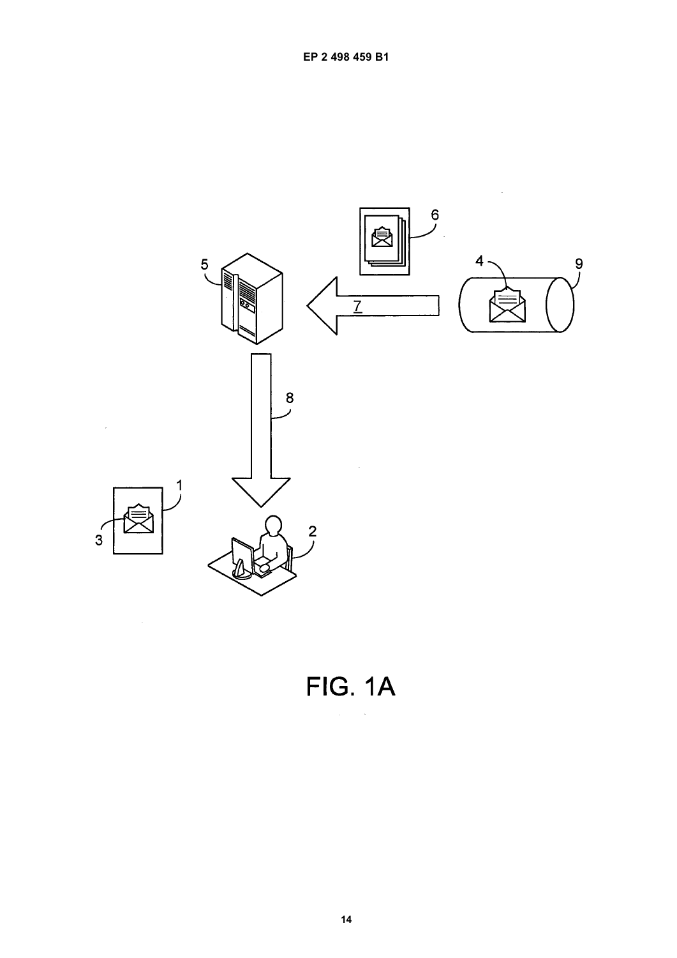

FIG. 1A

l,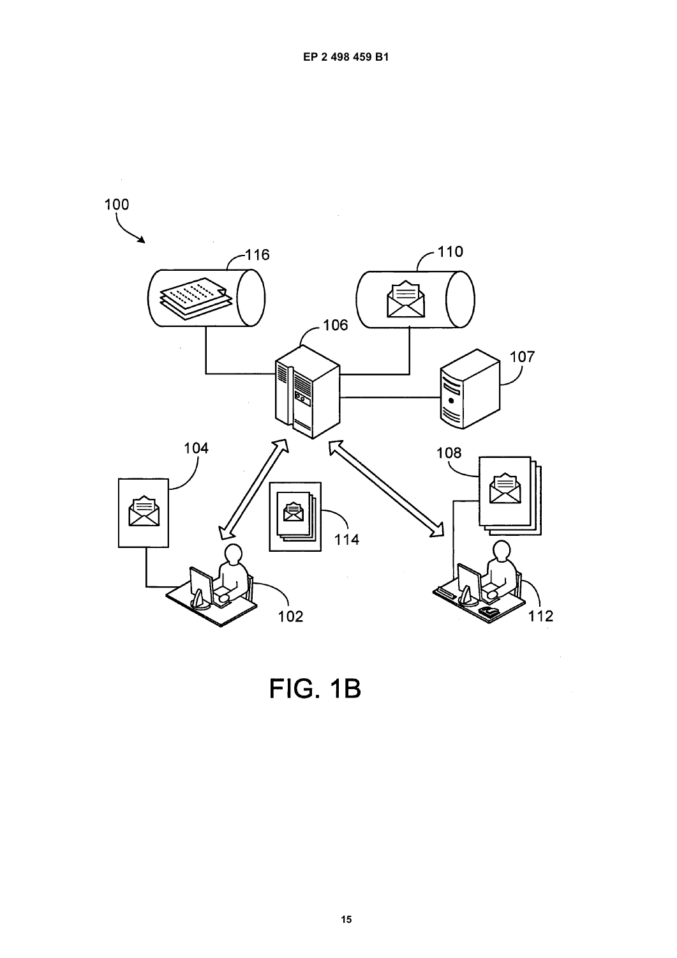

FIG. 1B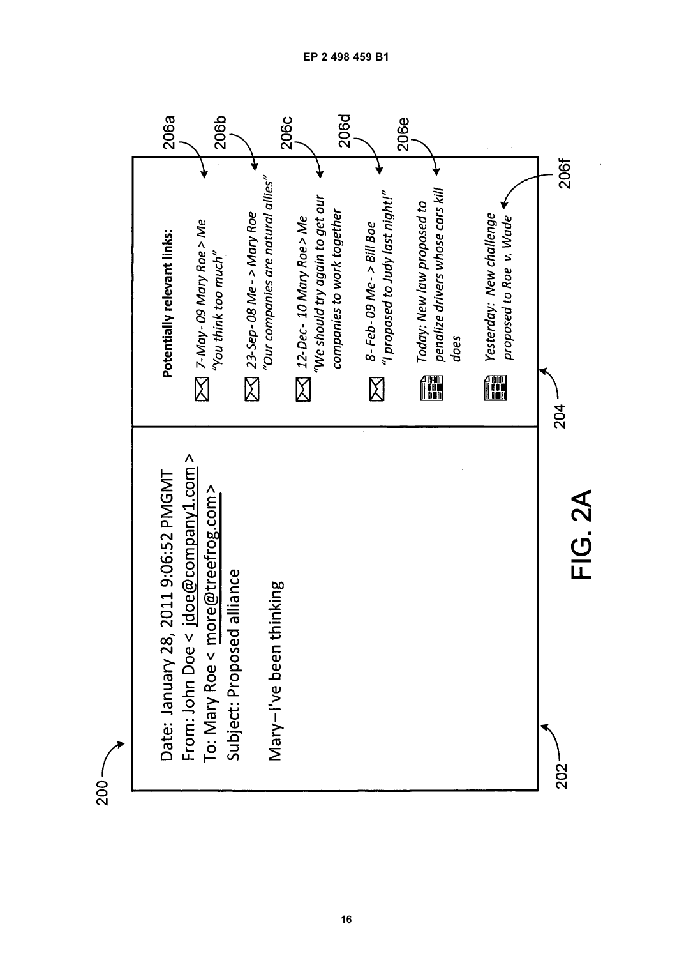

 $-002$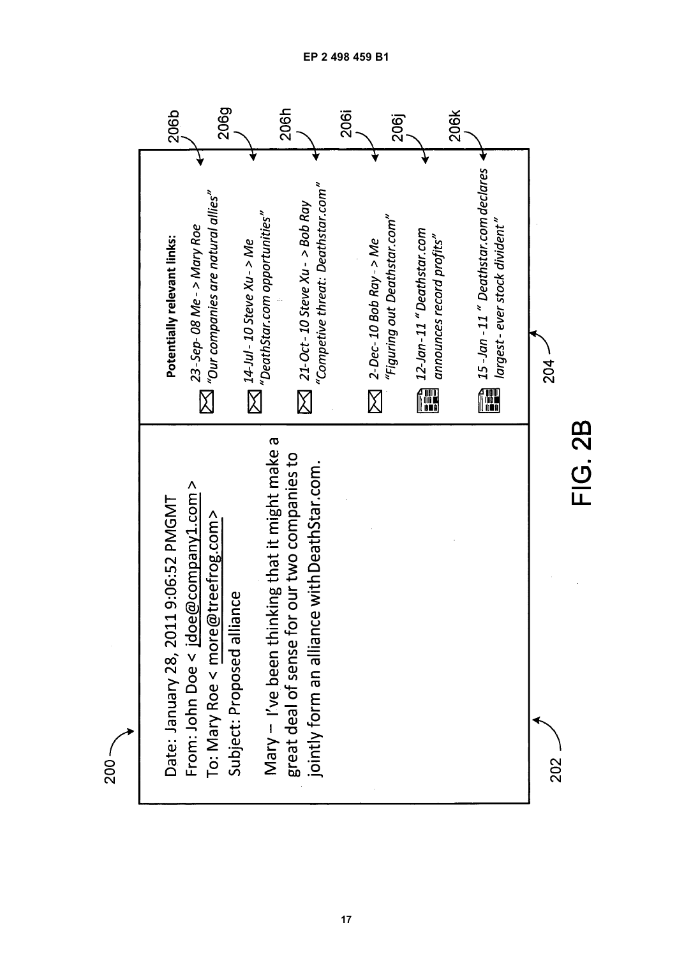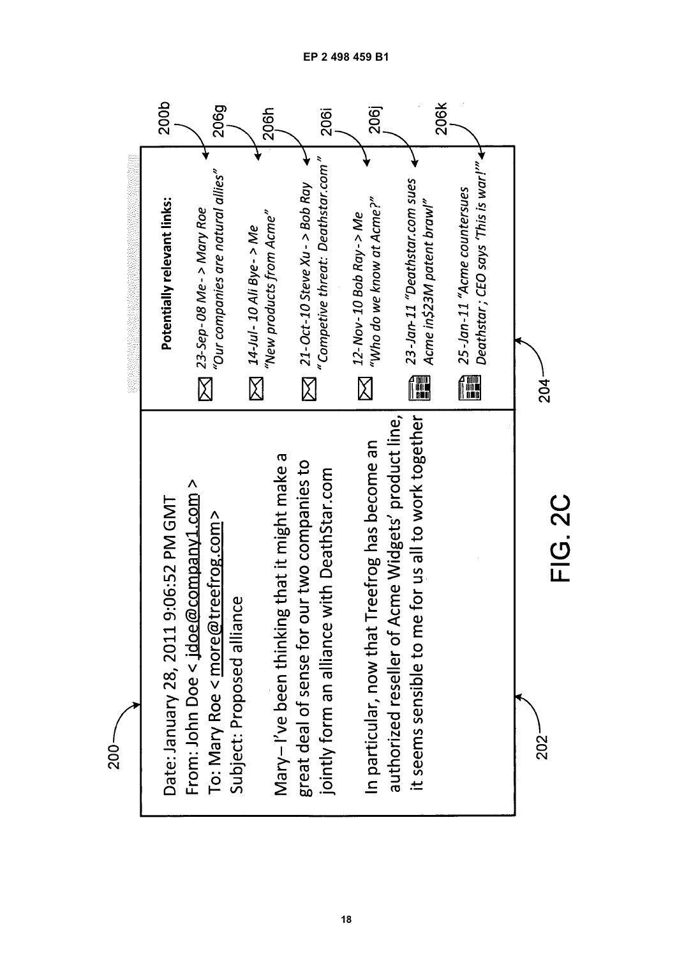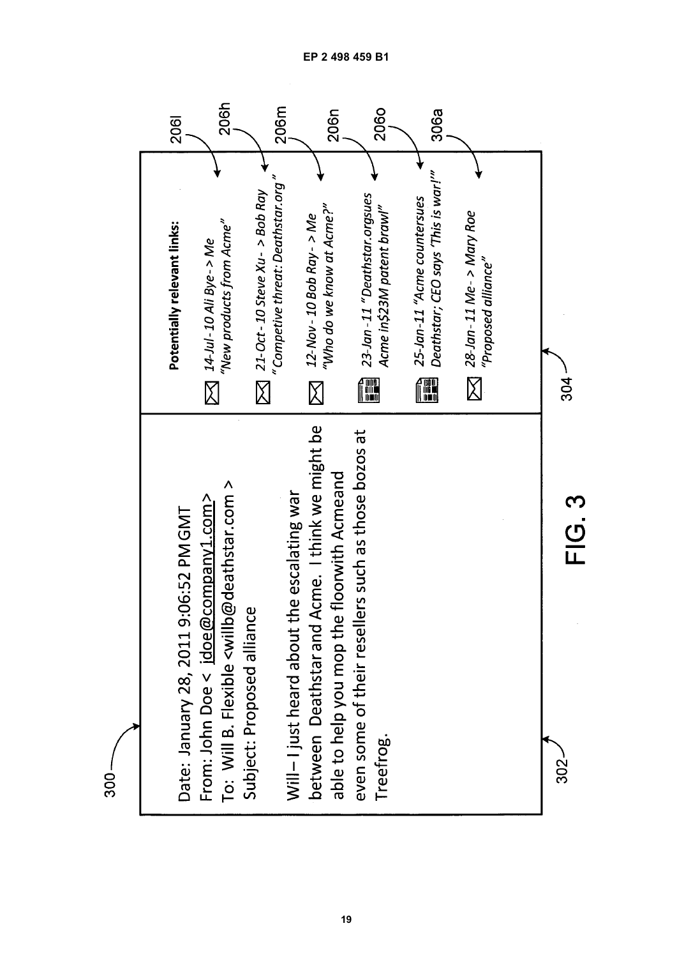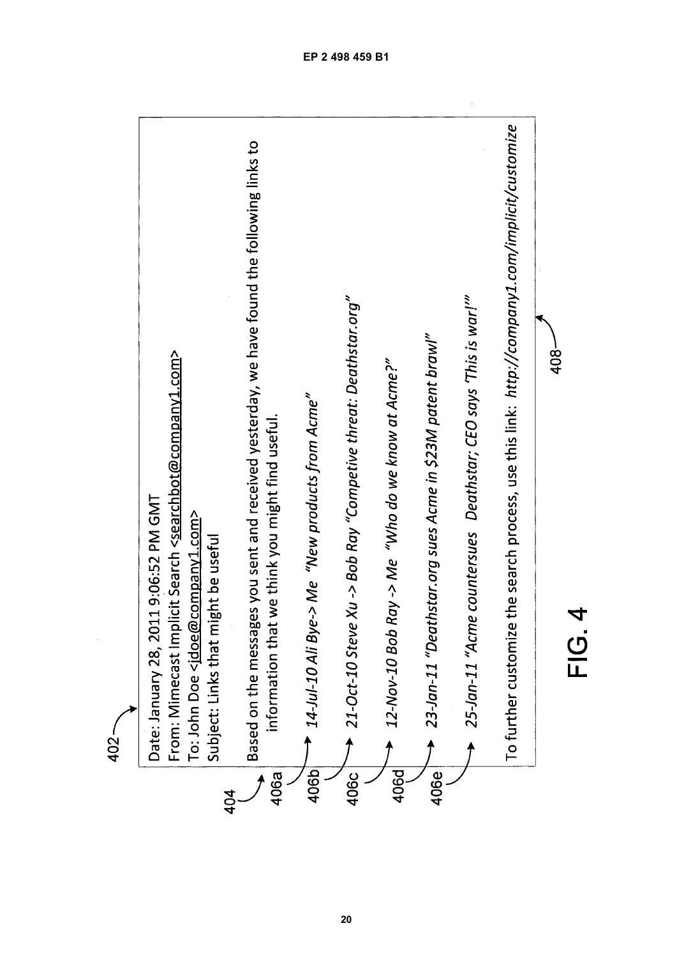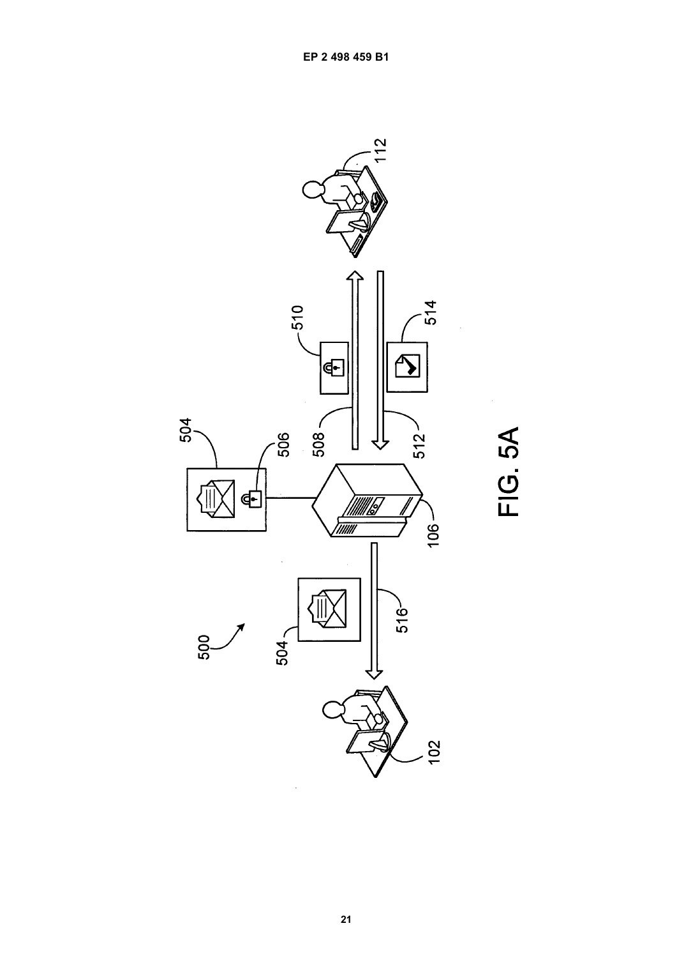

FIG. 5A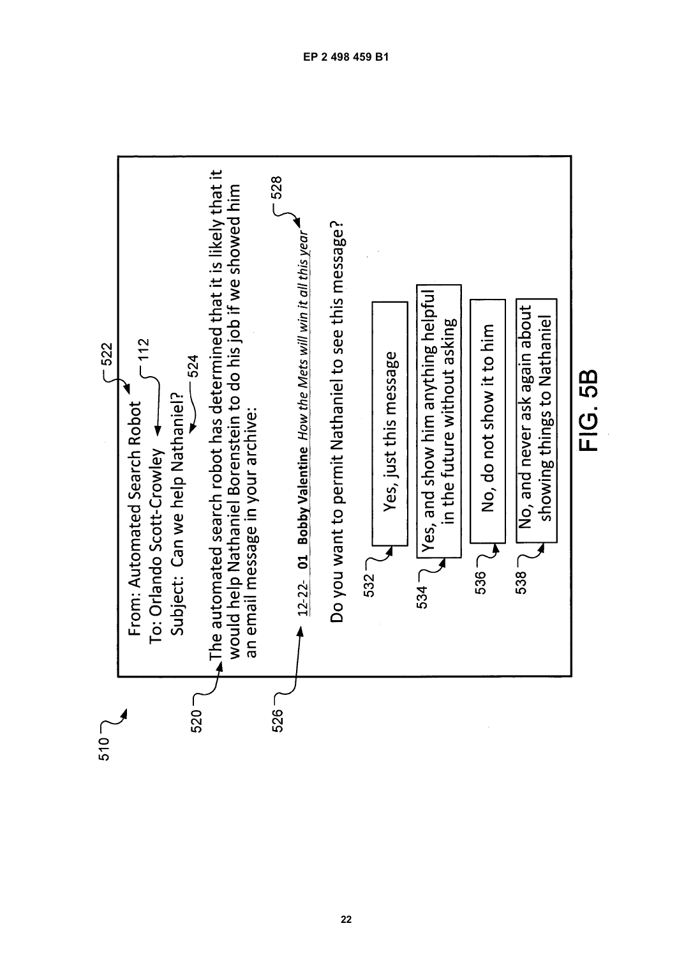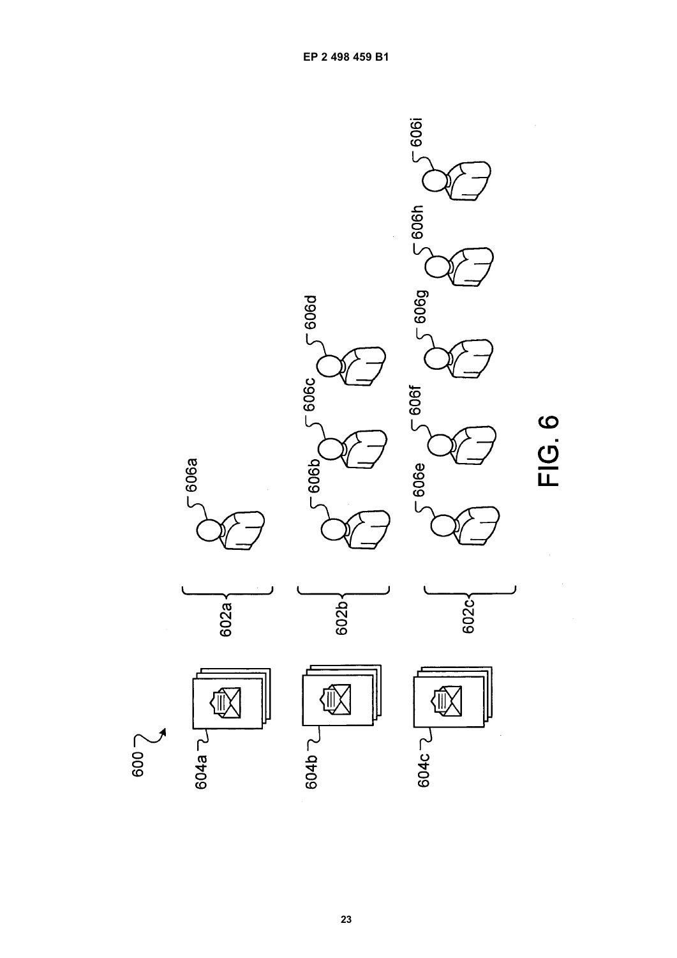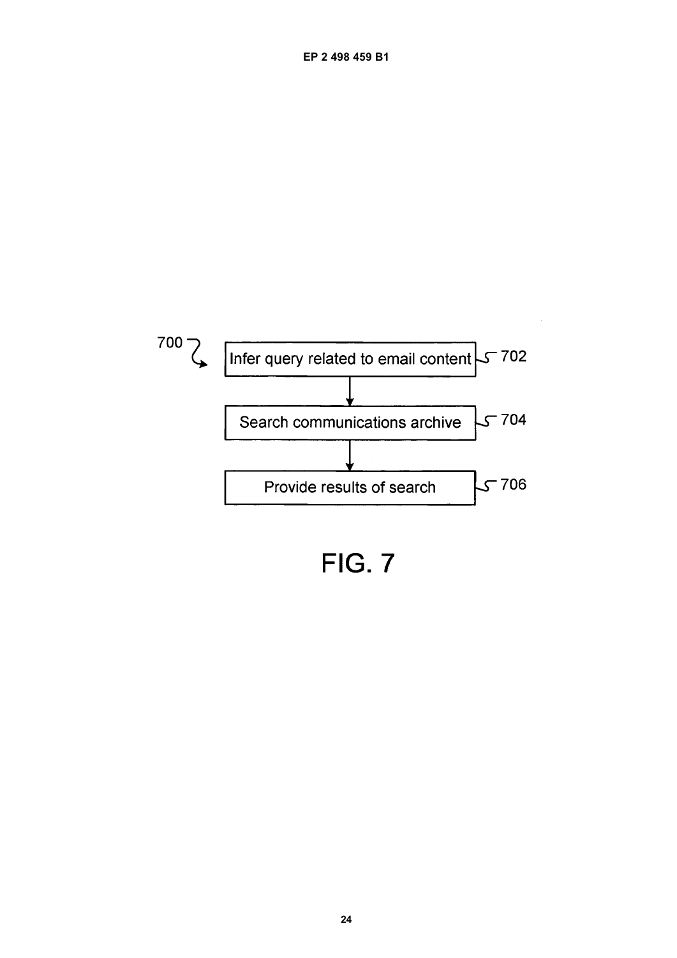

**FIG. 7**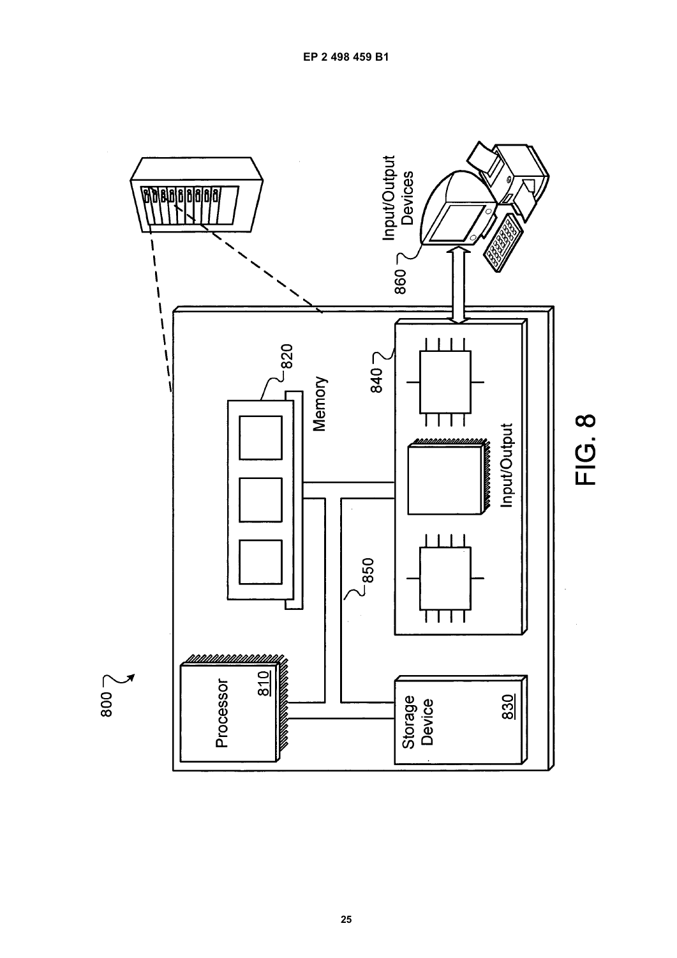